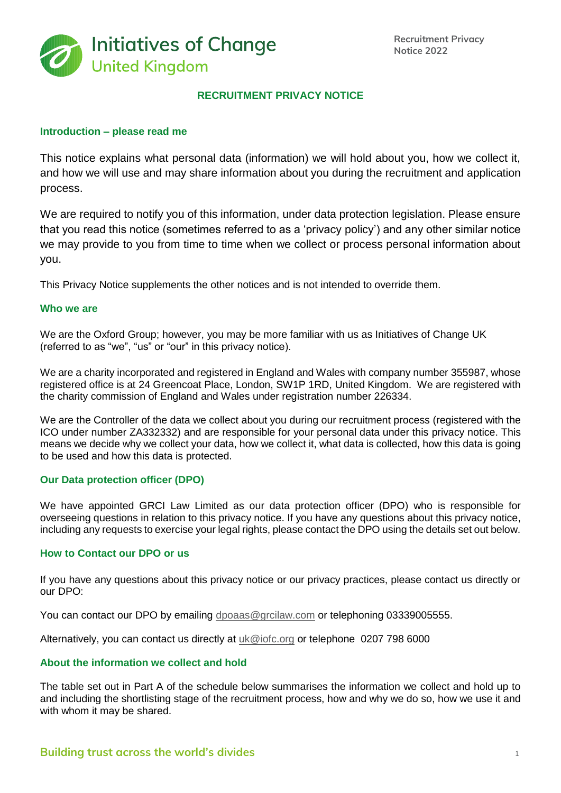

## **RECRUITMENT PRIVACY NOTICE**

## **Introduction – please read me**

This notice explains what personal data (information) we will hold about you, how we collect it, and how we will use and may share information about you during the recruitment and application process.

We are required to notify you of this information, under data protection legislation. Please ensure that you read this notice (sometimes referred to as a 'privacy policy') and any other similar notice we may provide to you from time to time when we collect or process personal information about you.

This Privacy Notice supplements the other notices and is not intended to override them.

#### **Who we are**

We are the Oxford Group; however, you may be more familiar with us as Initiatives of Change UK (referred to as "we", "us" or "our" in this privacy notice).

We are a charity incorporated and registered in England and Wales with company number 355987, whose registered office is at 24 Greencoat Place, London, SW1P 1RD, United Kingdom. We are registered with the charity commission of England and Wales under registration number 226334.

We are the Controller of the data we collect about you during our recruitment process (registered with the ICO under number ZA332332) and are responsible for your personal data under this privacy notice. This means we decide why we collect your data, how we collect it, what data is collected, how this data is going to be used and how this data is protected.

## **Our Data protection officer (DPO)**

We have appointed GRCI Law Limited as our data protection officer (DPO) who is responsible for overseeing questions in relation to this privacy notice. If you have any questions about this privacy notice, including any requests to exercise your legal rights, please contact the DPO using the details set out below.

## **How to Contact our DPO or us**

If you have any questions about this privacy notice or our privacy practices, please contact us directly or our DPO:

You can contact our DPO by emailing dpoaas@grcilaw.com or telephoning 03339005555.

Alternatively, you can contact us directly at [uk@iofc.org](mailto:uk@iofc.org) or telephone 0207 798 6000

#### **About the information we collect and hold**

The table set out in Part A of the schedule below summarises the information we collect and hold up to and including the shortlisting stage of the recruitment process, how and why we do so, how we use it and with whom it may be shared.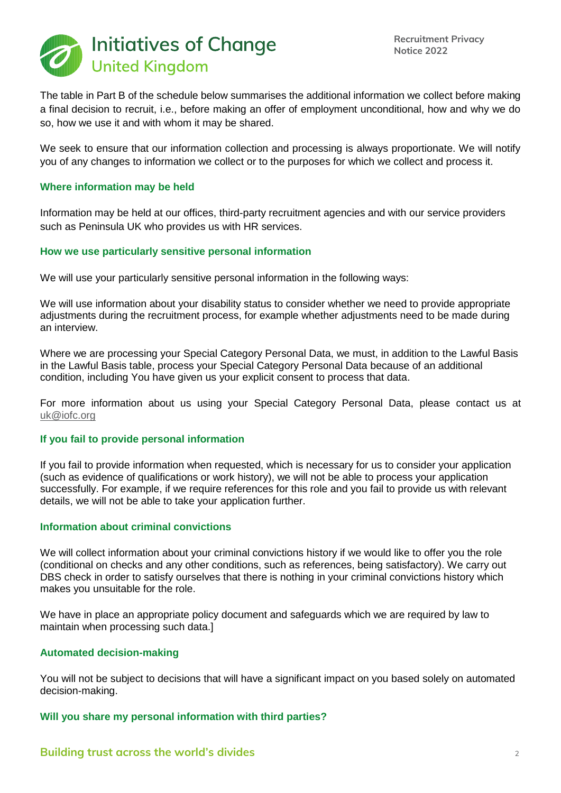

The table in Part B of the schedule below summarises the additional information we collect before making a final decision to recruit, i.e., before making an offer of employment unconditional, how and why we do so, how we use it and with whom it may be shared.

We seek to ensure that our information collection and processing is always proportionate. We will notify you of any changes to information we collect or to the purposes for which we collect and process it.

## **Where information may be held**

Information may be held at our offices, third-party recruitment agencies and with our service providers such as Peninsula UK who provides us with HR services.

## **How we use particularly sensitive personal information**

We will use your particularly sensitive personal information in the following ways:

We will use information about your disability status to consider whether we need to provide appropriate adjustments during the recruitment process, for example whether adjustments need to be made during an interview.

Where we are processing your Special Category Personal Data, we must, in addition to the Lawful Basis in the Lawful Basis table, process your Special Category Personal Data because of an additional condition, including You have given us your explicit consent to process that data.

For more information about us using your Special Category Personal Data, please contact us at [uk@iofc.org](mailto:uk@iofc.org)

## **If you fail to provide personal information**

If you fail to provide information when requested, which is necessary for us to consider your application (such as evidence of qualifications or work history), we will not be able to process your application successfully. For example, if we require references for this role and you fail to provide us with relevant details, we will not be able to take your application further.

#### **Information about criminal convictions**

We will collect information about your criminal convictions history if we would like to offer you the role (conditional on checks and any other conditions, such as references, being satisfactory). We carry out DBS check in order to satisfy ourselves that there is nothing in your criminal convictions history which makes you unsuitable for the role.

We have in place an appropriate policy document and safeguards which we are required by law to maintain when processing such data.]

#### **Automated decision-making**

You will not be subject to decisions that will have a significant impact on you based solely on automated decision-making.

## **Will you share my personal information with third parties?**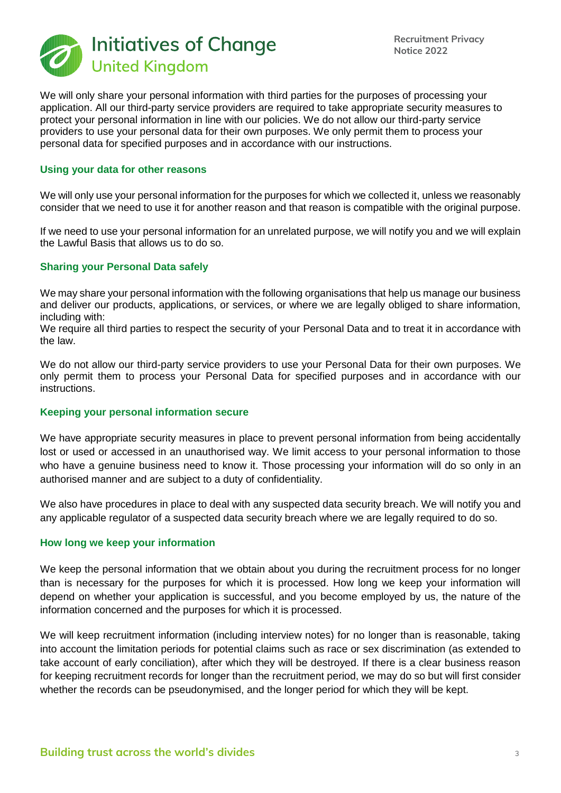

We will only share your personal information with third parties for the purposes of processing your application. All our third-party service providers are required to take appropriate security measures to protect your personal information in line with our policies. We do not allow our third-party service providers to use your personal data for their own purposes. We only permit them to process your personal data for specified purposes and in accordance with our instructions.

#### **Using your data for other reasons**

We will only use your personal information for the purposes for which we collected it, unless we reasonably consider that we need to use it for another reason and that reason is compatible with the original purpose.

If we need to use your personal information for an unrelated purpose, we will notify you and we will explain the Lawful Basis that allows us to do so.

## **Sharing your Personal Data safely**

We may share your personal information with the following organisations that help us manage our business and deliver our products, applications, or services, or where we are legally obliged to share information, including with:

We require all third parties to respect the security of your Personal Data and to treat it in accordance with the law.

We do not allow our third-party service providers to use your Personal Data for their own purposes. We only permit them to process your Personal Data for specified purposes and in accordance with our instructions.

#### **Keeping your personal information secure**

We have appropriate security measures in place to prevent personal information from being accidentally lost or used or accessed in an unauthorised way. We limit access to your personal information to those who have a genuine business need to know it. Those processing your information will do so only in an authorised manner and are subject to a duty of confidentiality.

We also have procedures in place to deal with any suspected data security breach. We will notify you and any applicable regulator of a suspected data security breach where we are legally required to do so.

#### **How long we keep your information**

We keep the personal information that we obtain about you during the recruitment process for no longer than is necessary for the purposes for which it is processed. How long we keep your information will depend on whether your application is successful, and you become employed by us, the nature of the information concerned and the purposes for which it is processed.

We will keep recruitment information (including interview notes) for no longer than is reasonable, taking into account the limitation periods for potential claims such as race or sex discrimination (as extended to take account of early conciliation), after which they will be destroyed. If there is a clear business reason for keeping recruitment records for longer than the recruitment period, we may do so but will first consider whether the records can be pseudonymised, and the longer period for which they will be kept.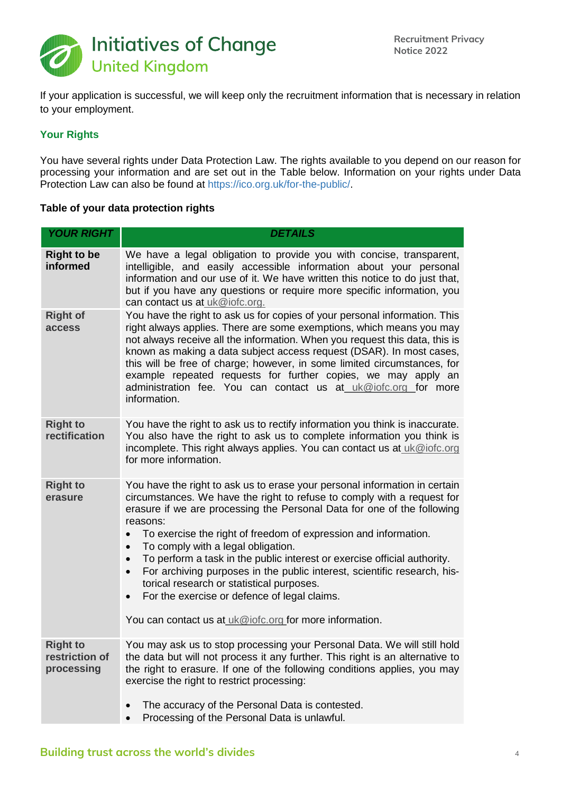

If your application is successful, we will keep only the recruitment information that is necessary in relation to your employment.

## **Your Rights**

You have several rights under Data Protection Law. The rights available to you depend on our reason for processing your information and are set out in the Table below. Information on your rights under Data Protection Law can also be found at https://ico.org.uk/for-the-public/.

## **Table of your data protection rights**

| <b>YOUR RIGHT</b>                               | <b>DETAILS</b>                                                                                                                                                                                                                                                                                                                                                                                                                                                                                                                                                                                                                                                                                               |  |  |  |
|-------------------------------------------------|--------------------------------------------------------------------------------------------------------------------------------------------------------------------------------------------------------------------------------------------------------------------------------------------------------------------------------------------------------------------------------------------------------------------------------------------------------------------------------------------------------------------------------------------------------------------------------------------------------------------------------------------------------------------------------------------------------------|--|--|--|
| <b>Right to be</b><br>informed                  | We have a legal obligation to provide you with concise, transparent,<br>intelligible, and easily accessible information about your personal<br>information and our use of it. We have written this notice to do just that,<br>but if you have any questions or require more specific information, you<br>can contact us at uk@iofc.org.                                                                                                                                                                                                                                                                                                                                                                      |  |  |  |
| <b>Right of</b><br>access                       | You have the right to ask us for copies of your personal information. This<br>right always applies. There are some exemptions, which means you may<br>not always receive all the information. When you request this data, this is<br>known as making a data subject access request (DSAR). In most cases,<br>this will be free of charge; however, in some limited circumstances, for<br>example repeated requests for further copies, we may apply an<br>administration fee. You can contact us at uk@iofc.org for more<br>information.                                                                                                                                                                     |  |  |  |
| <b>Right to</b><br>rectification                | You have the right to ask us to rectify information you think is inaccurate.<br>You also have the right to ask us to complete information you think is<br>incomplete. This right always applies. You can contact us at uk@iofc.org<br>for more information.                                                                                                                                                                                                                                                                                                                                                                                                                                                  |  |  |  |
| <b>Right to</b><br>erasure                      | You have the right to ask us to erase your personal information in certain<br>circumstances. We have the right to refuse to comply with a request for<br>erasure if we are processing the Personal Data for one of the following<br>reasons:<br>To exercise the right of freedom of expression and information.<br>To comply with a legal obligation.<br>$\bullet$<br>To perform a task in the public interest or exercise official authority.<br>$\bullet$<br>For archiving purposes in the public interest, scientific research, his-<br>$\bullet$<br>torical research or statistical purposes.<br>For the exercise or defence of legal claims.<br>You can contact us at uk@iofc.org for more information. |  |  |  |
| <b>Right to</b><br>restriction of<br>processing | You may ask us to stop processing your Personal Data. We will still hold<br>the data but will not process it any further. This right is an alternative to<br>the right to erasure. If one of the following conditions applies, you may<br>exercise the right to restrict processing:<br>The accuracy of the Personal Data is contested.<br>Processing of the Personal Data is unlawful.                                                                                                                                                                                                                                                                                                                      |  |  |  |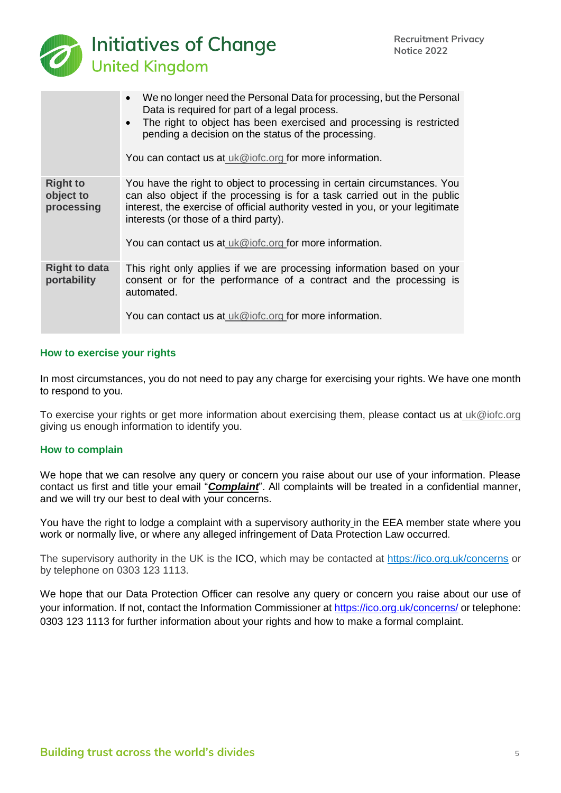

|                                            | We no longer need the Personal Data for processing, but the Personal<br>Data is required for part of a legal process.<br>The right to object has been exercised and processing is restricted<br>pending a decision on the status of the processing.<br>You can contact us at uk@iofc.org for more information.                               |
|--------------------------------------------|----------------------------------------------------------------------------------------------------------------------------------------------------------------------------------------------------------------------------------------------------------------------------------------------------------------------------------------------|
| <b>Right to</b><br>object to<br>processing | You have the right to object to processing in certain circumstances. You<br>can also object if the processing is for a task carried out in the public<br>interest, the exercise of official authority vested in you, or your legitimate<br>interests (or those of a third party).<br>You can contact us at uk@iofc.org for more information. |
| <b>Right to data</b><br>portability        | This right only applies if we are processing information based on your<br>consent or for the performance of a contract and the processing is<br>automated.<br>You can contact us at uk@iofc.org for more information.                                                                                                                        |

## **How to exercise your rights**

In most circumstances, you do not need to pay any charge for exercising your rights. We have one month to respond to you.

To exercise your rights or get more information about exercising them, please contact us at [uk@iofc.org](mailto:uk@iofc.org) giving us enough information to identify you.

#### **How to complain**

We hope that we can resolve any query or concern you raise about our use of your information. Please contact us first and title your email "*Complaint*". All complaints will be treated in a confidential manner, and we will try our best to deal with your concerns.

You have the right to lodge a complaint with a supervisory authority in the EEA member state where you work or normally live, or where any alleged infringement of Data Protection Law occurred.

The supervisory authority in the UK is the ICO, which may be contacted at https://ico.org.uk/concerns or by telephone on 0303 123 1113.

We hope that our Data Protection Officer can resolve any query or concern you raise about our use of your information. If not, contact the Information Commissioner at https://ico.org.uk/concerns/ or telephone: 0303 123 1113 for further information about your rights and how to make a formal complaint.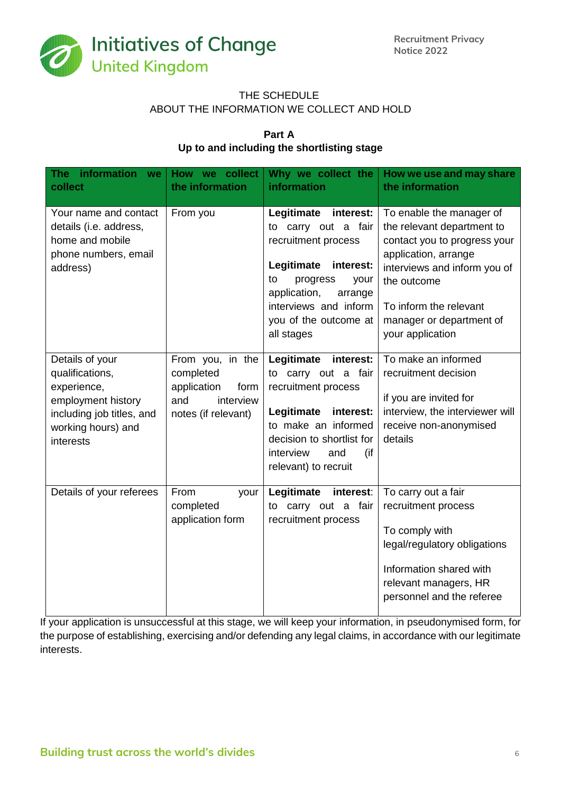

# THE SCHEDULE ABOUT THE INFORMATION WE COLLECT AND HOLD

# **Part A Up to and including the shortlisting stage**

| information we<br>The i<br>collect                                                                                                      | How we collect<br>the information                                                               | Why we collect the<br>information                                                                                                                                                                                     | How we use and may share<br>the information                                                                                                                                                                                             |
|-----------------------------------------------------------------------------------------------------------------------------------------|-------------------------------------------------------------------------------------------------|-----------------------------------------------------------------------------------------------------------------------------------------------------------------------------------------------------------------------|-----------------------------------------------------------------------------------------------------------------------------------------------------------------------------------------------------------------------------------------|
| Your name and contact<br>details (i.e. address,<br>home and mobile<br>phone numbers, email<br>address)                                  | From you                                                                                        | Legitimate<br>interest:<br>to carry out a fair<br>recruitment process<br>Legitimate<br>interest:<br>progress<br>to<br>your<br>application,<br>arrange<br>interviews and inform<br>you of the outcome at<br>all stages | To enable the manager of<br>the relevant department to<br>contact you to progress your<br>application, arrange<br>interviews and inform you of<br>the outcome<br>To inform the relevant<br>manager or department of<br>your application |
| Details of your<br>qualifications,<br>experience,<br>employment history<br>including job titles, and<br>working hours) and<br>interests | From you, in the<br>completed<br>application<br>form<br>and<br>interview<br>notes (if relevant) | Legitimate<br>interest:<br>to carry out a fair<br>recruitment process<br>interest:<br>Legitimate<br>to make an informed<br>decision to shortlist for<br>interview<br>(if<br>and<br>relevant) to recruit               | To make an informed<br>recruitment decision<br>if you are invited for<br>interview, the interviewer will<br>receive non-anonymised<br>details                                                                                           |
| Details of your referees                                                                                                                | From<br>your<br>completed<br>application form                                                   | Legitimate<br>interest:<br>to carry out a fair<br>recruitment process                                                                                                                                                 | To carry out a fair<br>recruitment process<br>To comply with<br>legal/regulatory obligations<br>Information shared with<br>relevant managers, HR<br>personnel and the referee                                                           |

If your application is unsuccessful at this stage, we will keep your information, in pseudonymised form, for the purpose of establishing, exercising and/or defending any legal claims, in accordance with our legitimate interests.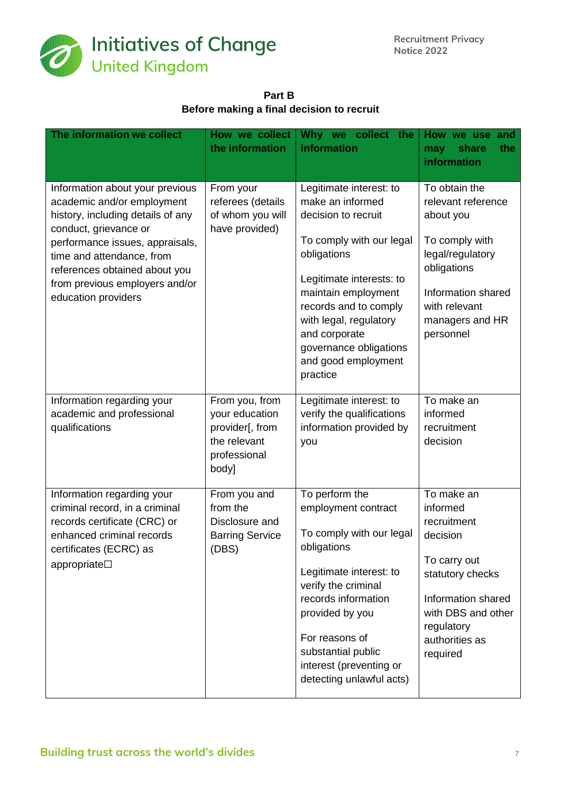

**Part B Before making a final decision to recruit**

| The information we collect                                                                                                                                                                                                                                                            | How we collect<br>the information                                                            | Why we collect the<br>information                                                                                                                                                                                                                                                                 | How we use and<br>share<br>the<br>may<br>information                                                                                                                          |
|---------------------------------------------------------------------------------------------------------------------------------------------------------------------------------------------------------------------------------------------------------------------------------------|----------------------------------------------------------------------------------------------|---------------------------------------------------------------------------------------------------------------------------------------------------------------------------------------------------------------------------------------------------------------------------------------------------|-------------------------------------------------------------------------------------------------------------------------------------------------------------------------------|
| Information about your previous<br>academic and/or employment<br>history, including details of any<br>conduct, grievance or<br>performance issues, appraisals,<br>time and attendance, from<br>references obtained about you<br>from previous employers and/or<br>education providers | From your<br>referees (details<br>of whom you will<br>have provided)                         | Legitimate interest: to<br>make an informed<br>decision to recruit<br>To comply with our legal<br>obligations<br>Legitimate interests: to<br>maintain employment<br>records and to comply<br>with legal, regulatory<br>and corporate<br>governance obligations<br>and good employment<br>practice | To obtain the<br>relevant reference<br>about you<br>To comply with<br>legal/regulatory<br>obligations<br>Information shared<br>with relevant<br>managers and HR<br>personnel  |
| Information regarding your<br>academic and professional<br>qualifications                                                                                                                                                                                                             | From you, from<br>your education<br>provider[, from<br>the relevant<br>professional<br>body] | Legitimate interest: to<br>verify the qualifications<br>information provided by<br>you                                                                                                                                                                                                            | To make an<br>informed<br>recruitment<br>decision                                                                                                                             |
| Information regarding your<br>criminal record, in a criminal<br>records certificate (CRC) or<br>enhanced criminal records<br>certificates (ECRC) as<br>appropriate <sup>1</sup>                                                                                                       | From you and<br>from the<br>Disclosure and<br><b>Barring Service</b><br>(DBS)                | To perform the<br>employment contract<br>To comply with our legal<br>obligations<br>Legitimate interest: to<br>verify the criminal<br>records information<br>provided by you<br>For reasons of<br>substantial public<br>interest (preventing or<br>detecting unlawful acts)                       | To make an<br>informed<br>recruitment<br>decision<br>To carry out<br>statutory checks<br>Information shared<br>with DBS and other<br>regulatory<br>authorities as<br>required |